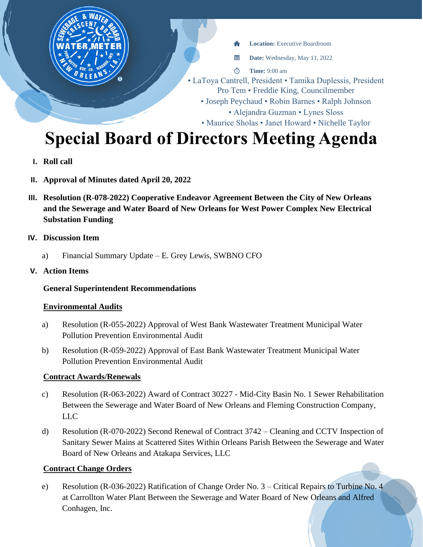

# **Special Board of Directors Meeting Agenda**

- **I. Roll call**
- **II. Approval of Minutes dated April 20, 2022**
- **III. Resolution (R-078-2022) Cooperative Endeavor Agreement Between the City of New Orleans and the Sewerage and Water Board of New Orleans for West Power Complex New Electrical Substation Funding**
- **IV. Discussion Item**
	- a) Financial Summary Update E. Grey Lewis, SWBNO CFO
- **V. Action Items**

## **General Superintendent Recommendations**

#### **Environmental Audits**

- a) Resolution (R-055-2022) Approval of West Bank Wastewater Treatment Municipal Water Pollution Prevention Environmental Audit
- b) Resolution (R-059-2022) Approval of East Bank Wastewater Treatment Municipal Water Pollution Prevention Environmental Audit

#### **Contract Awards/Renewals**

- c) Resolution (R-063-2022) Award of Contract 30227 Mid-City Basin No. 1 Sewer Rehabilitation Between the Sewerage and Water Board of New Orleans and Fleming Construction Company, LLC
- d) Resolution (R-070-2022) Second Renewal of Contract 3742 Cleaning and CCTV Inspection of Sanitary Sewer Mains at Scattered Sites Within Orleans Parish Between the Sewerage and Water Board of New Orleans and Atakapa Services, LLC

#### **Contract Change Orders**

e) Resolution (R-036-2022) Ratification of Change Order No. 3 – Critical Repairs to Turbine No. 4 at Carrollton Water Plant Between the Sewerage and Water Board of New Orleans and Alfred Conhagen, Inc.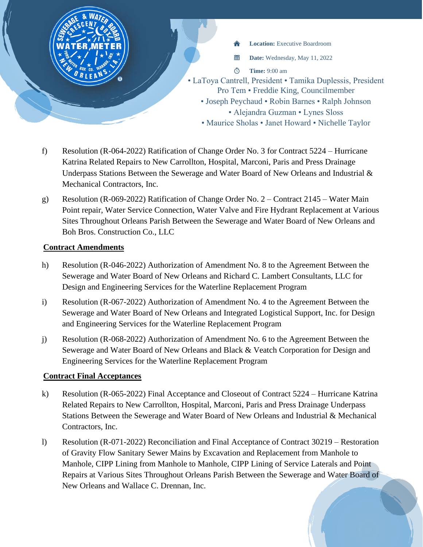

- f) Resolution (R-064-2022) Ratification of Change Order No. 3 for Contract 5224 Hurricane Katrina Related Repairs to New Carrollton, Hospital, Marconi, Paris and Press Drainage Underpass Stations Between the Sewerage and Water Board of New Orleans and Industrial & Mechanical Contractors, Inc.
- g) Resolution (R-069-2022) Ratification of Change Order No. 2 Contract 2145 Water Main Point repair, Water Service Connection, Water Valve and Fire Hydrant Replacement at Various Sites Throughout Orleans Parish Between the Sewerage and Water Board of New Orleans and Boh Bros. Construction Co., LLC

## **Contract Amendments**

- h) Resolution (R-046-2022) Authorization of Amendment No. 8 to the Agreement Between the Sewerage and Water Board of New Orleans and Richard C. Lambert Consultants, LLC for Design and Engineering Services for the Waterline Replacement Program
- i) Resolution (R-067-2022) Authorization of Amendment No. 4 to the Agreement Between the Sewerage and Water Board of New Orleans and Integrated Logistical Support, Inc. for Design and Engineering Services for the Waterline Replacement Program
- j) Resolution (R-068-2022) Authorization of Amendment No. 6 to the Agreement Between the Sewerage and Water Board of New Orleans and Black & Veatch Corporation for Design and Engineering Services for the Waterline Replacement Program

## **Contract Final Acceptances**

- k) Resolution (R-065-2022) Final Acceptance and Closeout of Contract 5224 Hurricane Katrina Related Repairs to New Carrollton, Hospital, Marconi, Paris and Press Drainage Underpass Stations Between the Sewerage and Water Board of New Orleans and Industrial & Mechanical Contractors, Inc.
- l) Resolution (R-071-2022) Reconciliation and Final Acceptance of Contract 30219 Restoration of Gravity Flow Sanitary Sewer Mains by Excavation and Replacement from Manhole to Manhole, CIPP Lining from Manhole to Manhole, CIPP Lining of Service Laterals and Point Repairs at Various Sites Throughout Orleans Parish Between the Sewerage and Water Board of New Orleans and Wallace C. Drennan, Inc.